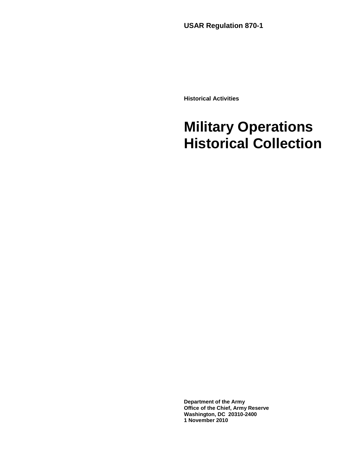**USAR Regulation 870-1** 

**Historical Activities**

# **Military Operations Historical Collection**

**Department of the Army Office of the Chief, Army Reserve Washington, DC 20310-2400 1 November 2010**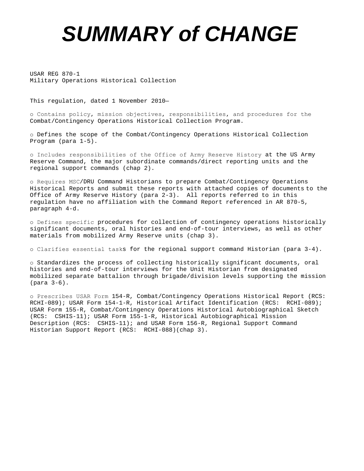# *SUMMARY of CHANGE*

USAR REG 870-1 Military Operations Historical Collection

This regulation, dated 1 November 2010—

ο Contains policy, mission objectives, responsibilities, and procedures for the Combat/Contingency Operations Historical Collection Program.

ο Defines the scope of the Combat/Contingency Operations Historical Collection Program (para 1-5).

ο Includes responsibilities of the Office of Army Reserve History at the US Army Reserve Command, the major subordinate commands/direct reporting units and the regional support commands (chap 2).

ο Requires MSC/DRU Command Historians to prepare Combat/Contingency Operations Historical Reports and submit these reports with attached copies of documents to the Office of Army Reserve History (para 2-3). All reports referred to in this regulation have no affiliation with the Command Report referenced in AR 870-5, paragraph 4-d.

ο Defines specific procedures for collection of contingency operations historically significant documents, oral histories and end-of-tour interviews, as well as other materials from mobilized Army Reserve units (chap 3).

ο Clarifies essential tasks for the regional support command Historian (para 3-4).

ο Standardizes the process of collecting historically significant documents, oral histories and end-of-tour interviews for the Unit Historian from designated mobilized separate battalion through brigade/division levels supporting the mission (para 3-6).

ο Prescribes USAR Form 154-R, Combat/Contingency Operations Historical Report (RCS: RCHI-089); USAR Form 154-1-R, Historical Artifact Identification (RCS: RCHI-089); USAR Form 155-R, Combat/Contingency Operations Historical Autobiographical Sketch (RCS: CSHIS-11); USAR Form 155-1-R, Historical Autobiographical Mission Description (RCS: CSHIS-11); and USAR Form 156-R, Regional Support Command Historian Support Report (RCS: RCHI-088)(chap 3).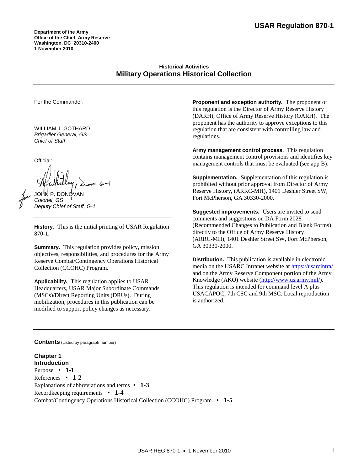**Department of the Army Office of the Chief, Army Reserve Washington, DC 20310-2400 1 November 2010** 

# **Historical Activities Military Operations Historical Collection**

For the Commander:

WILLIAM J. GOTHARD *Brigadier General, GS Chief of Staff*

Official:

JOHN P. DONOVAN *Colonel, GS Deputy Chief of Staff, G-1* 

**History.** This is the initial printing of USAR Regulation 870-1.

**Summary.** This regulation provides policy, mission objectives, responsibilities, and procedures for the Army Reserve Combat/Contingency Operations Historical Collection (CCOHC) Program.

**Applicability.** This regulation applies to USAR Headquarters, USAR Major Subordinate Commands (MSCs)/Direct Reporting Units (DRUs). During mobilization, procedures in this publication can be modified to support policy changes as necessary.

**Proponent and exception authority.** The proponent of this regulation is the Director of Army Reserve History (DARH), Office of Army Reserve History (OARH). The proponent has the authority to approve exceptions to this regulation that are consistent with controlling law and regulations.

**Army management control process.** This regulation contains management control provisions and identifies key management controls that must be evaluated (see app B).

**Supplementation.** Supplementation of this regulation is prohibited without prior approval from Director of Army Reserve History, (ARRC-MH), 1401 Deshler Street SW, Fort McPherson, GA 30330-2000.

**Suggested improvements.** Users are invited to send comments and suggestions on DA Form 2028 (Recommended Changes to Publication and Blank Forms) directly to the Office of Army Reserve History (ARRC-MH), 1401 Deshler Street SW, Fort McPherson, GA 30330-2000.

**Distribution.** This publication is available in electronic media on the USARC Intranet website at<https://usarcintra/> and on the Army Reserve Component portion of the Army Knowledge (AKO) website [\(http://www.us.army.mil/\)](http://www.us.army.mil/). This regulation is intended for command level A plus USACAPOC; 7th CSC and 9th MSC. Local reproduction is authorized.

**Contents** (Listed by paragraph number)

**Chapter 1 Introduction** Purpose • **1-1** References • **1-2** Explanations of abbreviations and terms • **1-3**  Recordkeeping requirements • **1-4**  Combat/Contingency Operations Historical Collection (CCOHC) Program • **1-5**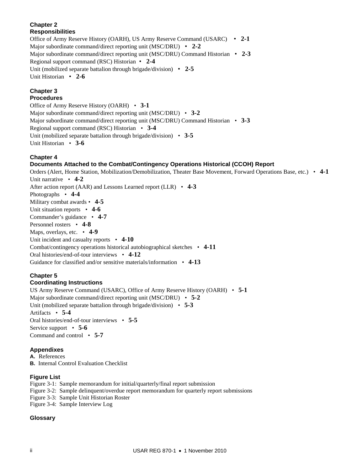# **Chapter 2 Responsibilities**

Office of Army Reserve History (OARH), US Army Reserve Command (USARC) • **2-1** Major subordinate command/direct reporting unit (MSC/DRU) • **2-2** Major subordinate command/direct reporting unit (MSC/DRU) Command Historian • **2-3** Regional support command (RSC) Historian • **2-4** Unit (mobilized separate battalion through brigade/division) • **2-5** Unit Historian • **2-6**

# **Chapter 3**

# **Procedures**

Office of Army Reserve History (OARH) • **3-1** Major subordinate command/direct reporting unit (MSC/DRU) • **3-2** Major subordinate command/direct reporting unit (MSC/DRU) Command Historian • **3-3** Regional support command (RSC) Historian • **3-4**  Unit (mobilized separate battalion through brigade/division) • **3-5** Unit Historian • **3-6**

# **Chapter 4**

# **Documents Attached to the Combat/Contingency Operations Historical (CCOH) Report**

Orders (Alert, Home Station, Mobilization/Demobilization, Theater Base Movement, Forward Operations Base, etc.) • **4-1**  Unit narrative • **4-2**  After action report (AAR) and Lessons Learned report (LLR) • **4-3**  Photographs • **4-4**  Military combat awards • **4-5**  Unit situation reports • **4-6**  Commander's guidance • **4-7**  Personnel rosters • **4-8**  Maps, overlays, etc. • **4-9**  Unit incident and casualty reports  $\cdot$  4-10 Combat/contingency operations historical autobiographical sketches • **4-11** Oral histories/end-of-tour interviews • **4-12** Guidance for classified and/or sensitive materials/information • **4-13** 

#### **Chapter 5 Coordinating Instructions**

US Army Reserve Command (USARC), Office of Army Reserve History (OARH) • **5-1**  Major subordinate command/direct reporting unit (MSC/DRU) • **5-2**  Unit (mobilized separate battalion through brigade/division) • **5-3**  Artifacts • **5-4**  Oral histories/end-of-tour interviews • **5-5**  Service support • **5-6**  Command and control • **5-7** 

# **Appendixes**

**A.** References **B.** Internal Control Evaluation Checklist

# **Figure List**

Figure 3-1: Sample memorandum for initial/quarterly/final report submission

- Figure 3-2: Sample delinquent/overdue report memorandum for quarterly report submissions
- Figure 3-3: Sample Unit Historian Roster
- Figure 3-4: Sample Interview Log

# **Glossary**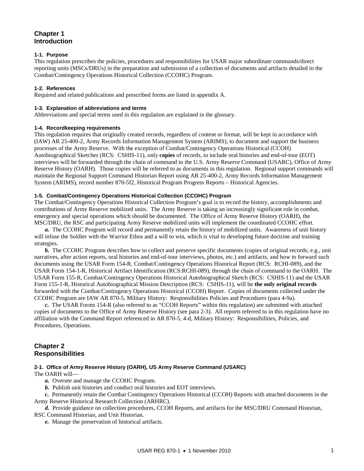# **Chapter 1 Introduction**

#### **1-1. Purpose**

This regulation prescribes the policies, procedures and responsibilities for USAR major subordinate commands/direct reporting units (MSCs/DRUs) in the preparation and submission of a collection of documents and artifacts detailed in the Combat/Contingency Operations Historical Collection (CCOHC) Program.

#### **1-2. References**

Required and related publications and prescribed forms are listed in appendix A.

#### **1-3. Explanation of abbreviations and terms**

Abbreviations and special terms used in this regulation are explained in the glossary.

#### **1-4. Recordkeeping requirements**

This regulation requires that originally created records, regardless of content or format, will be kept in accordance with (IAW) AR 25-400-2, Army Records Information Management System (ARIMS), to document and support the business processes of the Army Reserve. With the exception of Combat/Contingency Operations Historical (CCOH) Autobiographical Sketches (RCS: CSHIS-11), only **copies** of records, to include oral histories and end-of-tour (EOT) interviews will be forwarded through the chain of command to the U.S. Army Reserve Command (USARC), Office of Army Reserve History (OARH). Those copies will be referred to as documents in this regulation. Regional support commands will maintain the Regional Support Command Historian Report using AR 25-400-2, Army Records Information Management System (ARIMS), record number 870-5f2, Historical Program Progress Reports – Historical Agencies.

#### **1-5. Combat/Contingency Operations Historical Collection (CCOHC) Program**

The Combat/Contingency Operations Historical Collection Program's goal is to record the history, accomplishments and contributions of Army Reserve mobilized units. The Army Reserve is taking an increasingly significant role in combat, emergency and special operations which should be documented. The Office of Army Reserve History (OARH), the MSC/DRU, the RSC and participating Army Reserve mobilized units will implement the coordinated CCOHC effort.

*a.* The CCOHC Program will record and permanently retain the history of mobilized units. Awareness of unit history will infuse the Soldier with the Warrior Ethos and a will to win, which is vital to developing future doctrine and training strategies.

 *b.* The CCOHC Program describes how to collect and preserve specific documents (copies of original records; e.g., unit narratives, after action reports, oral histories and end-of-tour interviews, photos, etc.) and artifacts, and how to forward such documents using the USAR Form 154-R, Combat/Contingency Operations Historical Report (RCS: RCHI-089), and the USAR Form 154-1-R, Historical Artifact Identification (RCS:RCHI-089), through the chain of command to the OARH. The USAR Form 155-R, Combat/Contingency Operations Historical Autobiographical Sketch (RCS: CSHIS-11) and the USAR Form 155-1-R, Historical Autobiographical Mission Description (RCS: CSHIS-11), will be **the only original records** forwarded with the Combat/Contingency Operations Historical (CCOH) Report. Copies of documents collected under the CCOHC Program are IAW AR 870-5, Military History: Responsibilities Policies and Procedures (para 4-9a).

*c.* The USAR Forms 154-R (also referred to as "CCOH Reports" within this regulation) are submitted with attached copies of documents to the Office of Army Reserve History (see para 2-3). All reports referred to in this regulation have no affiliation with the Command Report referenced in AR 870-5, 4-d, Military History: Responsibilities, Policies, and Procedures, Operations.

# **Chapter 2 Responsibilities**

#### **2-1. Office of Army Reserve History (OARH), US Army Reserve Command (USARC)**

The OARH will—

*a.* Oversee and manage the CCOHC Program.

*b.* Publish unit histories and conduct oral histories and EOT interviews.

*c.* Permanently retain the Combat Contingency Operations Historical (CCOH) Reports with attached documents in the Army Reserve Historical Research Collection (ARHRC).

*d.* Provide guidance on collection procedures, CCOH Reports, and artifacts for the MSC/DRU Command Historian, RSC Command Historian, and Unit Historian.

*e.* Manage the preservation of historical artifacts.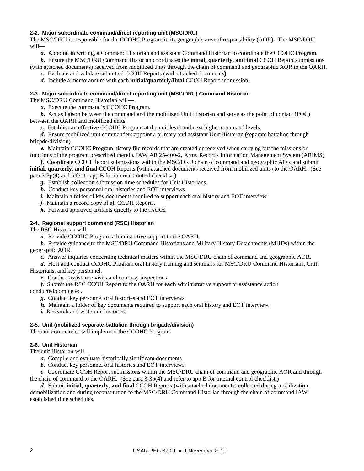#### **2-2. Major subordinate command/direct reporting unit (MSC/DRU)**

The MSC/DRU is responsible for the CCOHC Program in its geographic area of responsibility (AOR). The MSC/DRU will—

*a.* Appoint, in writing, a Command Historian and assistant Command Historian to coordinate the CCOHC Program.

*b.* Ensure the MSC/DRU Command Historian coordinates the **initial, quarterly, and final** CCOH Report submissions **(**with attached documents) received from mobilized units through the chain of command and geographic AOR to the OARH.

*c.* Evaluate and validate submitted CCOH Reports (with attached documents).

*d.* Include a memorandum with each **initial/quarterly/final** CCOH Report submission.

#### **2-3. Major subordinate command/direct reporting unit (MSC/DRU) Command Historian**

The MSC/DRU Command Historian will—

*a.* Execute the command's CCOHC Program.

*b.* Act as liaison between the command and the mobilized Unit Historian and serve as the point of contact (POC) between the OARH and mobilized units.

*c.* Establish an effective CCOHC Program at the unit level and next higher command levels.

 *d.* Ensure mobilized unit commanders appoint a primary and assistant Unit Historian (separate battalion through brigade/division).

*e.* Maintain CCOHC Program history file records that are created or received when carrying out the missions or functions of the program prescribed therein, IAW AR 25-400-2, Army Records Information Management System (ARIMS).

*f*. Coordinate CCOH Report submissions within the MSC/DRU chain of command and geographic AOR and submit

**initial, quarterly, and final** CCOH Reports **(**with attached documents received from mobilized units) to the OARH. (See para 3-3p(4) and refer to app B for internal control checklist.)

*g.* Establish collection submission time schedules for Unit Historians.

*h.* Conduct key personnel oral histories and EOT interviews.

*i.* Maintain a folder of key documents required to support each oral history and EOT interview.

*j*. Maintain a record copy of all CCOH Reports.

*k*. Forward approved artifacts directly to the OARH.

#### **2-4. Regional support command (RSC) Historian**

The RSC Historian will—

*a*. Provide CCOHC Program administrative support to the OARH.

*b.* Provide guidance to the MSC/DRU Command Historians and Military History Detachments (MHDs) within the geographic AOR.

*c.* Answer inquiries concerning technical matters within the MSC/DRU chain of command and geographic AOR.

*d.* Host and conduct CCOHC Program oral history training and seminars for MSC/DRU Command Historians, Unit Historians, and key personnel.

*e*. Conduct assistance visits and courtesy inspections.

*f*. Submit the RSC CCOH Report to the OARH for **each** administrative support or assistance action

conducted/completed.

*g.* Conduct key personnel oral histories and EOT interviews.

*h.* Maintain a folder of key documents required to support each oral history and EOT interview.

*i.* Research and write unit histories.

#### **2-5. Unit (mobilized separate battalion through brigade/division)**

The unit commander will implement the CCOHC Program.

#### **2-6. Unit Historian**

The unit Historian will—

*a.* Compile and evaluate historically significant documents.

*b.* Conduct key personnel oral histories and EOT interviews.

*c*. Coordinate CCOH Report submissions within the MSC/DRU chain of command and geographic AOR and through the chain of command to the OARH. (See para 3-3p(4) and refer to app B for internal control checklist.)

*d.* Submit **initial, quarterly, and final** CCOH Reports **(**with attached documents) collected during mobilization, demobilization and during reconstitution to the MSC/DRU Command Historian through the chain of command IAW

established time schedules.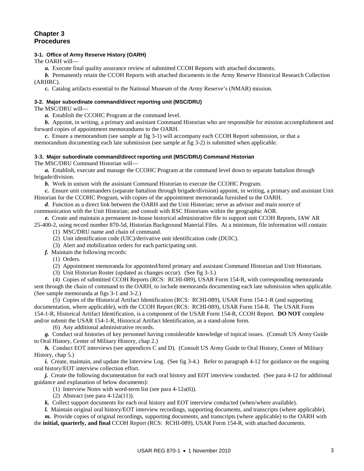# **Chapter 3 Procedures**

#### **3-1. Office of Army Reserve History (OARH)**

The OARH will—

*a.* Execute final quality assurance review of submitted CCOH Reports with attached documents.

*b.* Permanently retain the CCOH Reports with attached documents in the Army Reserve Historical Research Collection (ARHRC).

*c.* Catalog artifacts essential to the National Museum of the Army Reserve's (NMAR) mission.

#### **3-2. Major subordinate command/direct reporting unit (MSC/DRU)**

The MSC/DRU will—

*a.* Establish the CCOHC Program at the command level.

*b.* Appoint, in writing, a primary and assistant Command Historian who are responsible for mission accomplishment and forward copies of appointment memorandums to the OARH.

*c.* Ensure a memorandum (see sample at fig 3-1) will accompany each CCOH Report submission, or that a memorandum documenting each late submission (see sample at fig 3-2) is submitted when applicable.

#### **3-3. Major subordinate command/direct reporting unit (MSC/DRU) Command Historian**

The MSC/DRU Command Historian will—

*a.* Establish, execute and manage the CCOHC Program at the command level down to separate battalion through brigade/division.

*b.* Work in unison with the assistant Command Historian to execute the CCOHC Program.

*c.* Ensure unit commanders (separate battalion through brigade/division) appoint, in writing, a primary and assistant Unit Historian for the CCOHC Program, with copies of the appointment memoranda furnished to the OARH.

*d*. Function as a direct link between the OARH and the Unit Historian; serve as advisor and main source of communication with the Unit Historian; and consult with RSC Historians within the geographic AOR.

*e.* Create and maintain a permanent in-house historical administrative file to support unit CCOH Reports, IAW AR

25-400-2, using record number 870-5d, Historian Background Material Files. At a minimum, file information will contain: (1) MSC/DRU name and chain of command.

(2) Unit identification code (UIC)/derivative unit identification code (DUIC).

(3) Alert and mobilization orders for each participating unit.

*f.* Maintain the following records:

(1) Orders.

(2) Appointment memoranda for appointed/hired primary and assistant Command Historian and Unit Historians.

(3) Unit Historian Roster (updated as changes occur). (See fig 3-3.)

 (4) Copies of submitted CCOH Reports (RCS: RCHI-089), USAR Form 154-R, with corresponding memoranda sent through the chain of command to the OARH, to include memoranda documenting each late submission when applicable. (See sample memoranda at figs 3-1 and 3-2.)

 (5) Copies of the Historical Artifact Identification (RCS: RCHI-089), USAR Form 154-1-R (and supporting documentation, where applicable), with the CCOH Report (RCS: RCHI-089), USAR Form 154-R. The USAR Form 154-1-R, Historical Artifact Identification, is a component of the USAR Form 154-R, CCOH Report. **DO NOT** complete and/or submit the USAR 154-1-R, Historical Artifact Identification, as a stand-alone form.

(6) Any additional administrative records.

*g.* Conduct oral histories of key personnel having considerable knowledge of topical issues. (Consult US Army Guide to Oral History, Center of Military History, chap 2.)

*h.* Conduct EOT interviews (see appendices C and D). (Consult US Army Guide to Oral History, Center of Military History, chap 5.)

*i.* Create, maintain, and update the Interview Log. (See fig 3-4.) Refer to paragraph 4-12 for guidance on the ongoing oral history/EOT interview collection effort.

*j.* Create the following documentation for each oral history and EOT interview conducted. (See para 4-12 for additional guidance and explanation of below documents):

(1) Interview Notes with word-term list (see para 4-12a(6)).

(2) Abstract (see para 4-12a(11)).

*k.* Collect support documents for each oral history and EOT interview conducted (when/where available).

*l.* Maintain original oral history/EOT interview recordings, supporting documents, and transcripts (where applicable).

*m.* Provide copies of original recordings, supporting documents, and transcripts (where applicable) to the OARH with the **initial, quarterly, and final** CCOH Report (RCS: RCHI-089), USAR Form 154-R, with attached documents.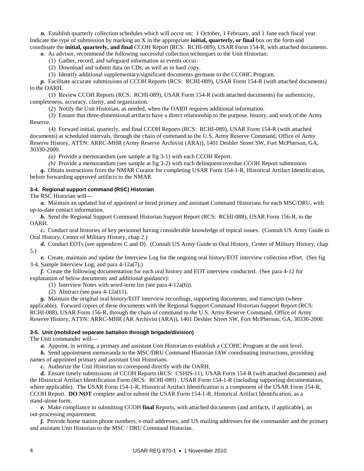*n.* Establish quarterly collection schedules which will occur on: 1 October, 1 February, and 1 June each fiscal year. Indicate the type of submission by marking an X in the appropriate **initial, quarterly, or final** box on the form and coordinate the **initial, quarterly, and final** CCOH Report (RCS: RCHI-089), USAR Form 154-R, with attached documents.

*o*. As advisor, recommend the following successful collection techniques to the Unit Historian:

(1) Gather, record, and safeguard information as events occur.

(2) Download and submit data on CDs, as well as in hard copy.

(3) Identify additional supplementary/significant documents germane to the CCOHC Program.

*p.* Facilitate accurate submissions of CCOH Reports (RCS: RCHI-089), USAR Form 154-R (with attached documents) to the OARH.

 (1) Review CCOH Reports (RCS: RCHI-089), USAR Form 154-R (with attached documents) for authenticity, completeness, accuracy, clarity, and organization.

(2) Notify the Unit Historian, as needed, when the OARH requires additional information.

 (3) Ensure that three-dimensional artifacts have a direct relationship to the purpose, history, and work of the Army Reserve.

 (4) Forward initial, quarterly, and final CCOH Reports (RCS: RCHI-089), USAR Form 154-R (with attached documents) at scheduled intervals, through the chain of command to the U.S. Army Reserve Command, Office of Army Reserve History, ATTN: ARRC-MHR (Army Reserve Archivist (ARA)), 1401 Deshler Street SW, Fort McPherson, GA, 30330-2000.

*(a)* Provide a memorandum (see sample at fig 3-1) with each CCOH Report.

 *(b)* Provide a memorandum (see sample at fig 3-2) with each delinquent/overdue CCOH Report submission.

*q.* Obtain instructions from the NMAR Curator for completing USAR Form 154-1-R, Historical Artifact Identification, before forwarding approved artifacts to the NMAR.

#### **3-4. Regional support command (RSC) Historian**

The RSC Historian will—

*a.* Maintain an updated list of appointed or hired primary and assistant Command Historians for each MSC/DRU, with up-to-date contact information.

*b.* Send the Regional Support Command Historian Support Report (RCS: RCHI-088), USAR Form 156-R, to the OARH.

 *c.* Conduct oral histories of key personnel having considerable knowledge of topical issues. (Consult US Army Guide to Oral History, Center of Military History, chap 2.)

*d.* Conduct EOTs (see appendices C and D). (Consult US Army Guide to Oral History, Center of Military History, chap 5.)

*e.* Create, maintain and update the Interview Log for the ongoing oral history/EOT interview collection effort. (See fig 3-4, Sample Interview Log; and para 4-12a(7).)

*f.* Create the following documentation for each oral history and EOT interview conducted. (See para 4-12 for explanation of below documents and additional guidance):

(1) Interview Notes with word-term list (see para 4-12a(6)).

(2) Abstract (see para 4-12a(11).

*g.* Maintain the original oral history/EOT interview recordings, supporting documents; and transcripts (where applicable). Forward copies of these documents with the Regional Support Command Historian Support Report (RCS: RCHI-088), USAR Form 156-R, through the chain of command to the U.S. Army Reserve Command, Office of Army Reserve History, ATTN: ARRC-MHR (AR Archivist (ARA)), 1401 Deshler Street SW, Fort McPherson, GA, 30330-2000.

#### **3-5. Unit (mobilized separate battalion through brigade/division)**

The Unit commander will—

*a.* Appoint, in writing, a primary and assistant Unit Historian to establish a CCOHC Program at the unit level.

*b.* Send appointment memoranda to the MSC/DRU Command Historian IAW coordinating instructions, providing names of appointed primary and assistant Unit Historians.

*c.* Authorize the Unit Historian to correspond directly with the OARH.

*d.* Ensure timely submissions of CCOH Reports (RCS: CSHIS-11), USAR Form 154-R (with attached documents) and the Historical Artifact Identification Form (RCS: RCHI-089) , USAR Form 154-1-R (including supporting documentation, where applicable). The USAR Form 154-1-R, Historical Artifact Identification is a component of the USAR Form 154-R, CCOH Report. **DO NOT** complete and/or submit the USAR Form 154-1-R, Historical Artifact Identification, as a stand-alone form.

*e.* Make compliance in submitting CCOH **final** Reports, with attached documents (and artifacts, if applicable), an out-processing requirement.

*f.* Provide home station phone numbers, e-mail addresses, and US mailing addresses for the commander and the primary and assistant Unit Historian to the MSC / DRU Command Historian.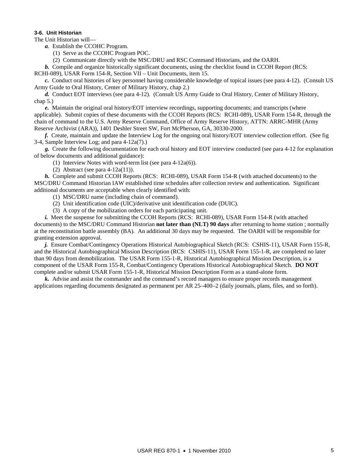#### **3-6. Unit Historian**

The Unit Historian will—

*a*. Establish the CCOHC Program.

(1) Serve as the CCOHC Program POC.

(2) Communicate directly with the MSC/DRU and RSC Command Historians, and the OARH.

*b.* Compile and organize historically significant documents, using the checklist found in CCOH Report (RCS:

RCHI-089), USAR Form 154-R, Section VII – Unit Documents, item 15.

*c.* Conduct oral histories of key personnel having considerable knowledge of topical issues (see para 4-12). (Consult US Army Guide to Oral History, Center of Military History, chap 2.)

*d.* Conduct EOT interviews (see para 4-12). (Consult US Army Guide to Oral History, Center of Military History, chap 5.)

*e.* Maintain the original oral history/EOT interview recordings, supporting documents; and transcripts (where applicable). Submit copies of these documents with the CCOH Reports (RCS: RCHI-089), USAR Form 154-R, through the chain of command to the U.S. Army Reserve Command, Office of Army Reserve History, ATTN: ARRC-MHR (Army Reserve Archivist (ARA)), 1401 Deshler Street SW, Fort McPherson, GA, 30330-2000.

 *f.* Create, maintain and update the Interview Log for the ongoing oral history/EOT interview collection effort. (See fig 3-4, Sample Interview Log; and para 4-12a(7).)

*g.* Create the following documentation for each oral history and EOT interview conducted (see para 4-12 for explanation of below documents and additional guidance):

(1) Interview Notes with word-term list (see para 4-12a(6)).

(2) Abstract (see para 4-12a(11)).

*h.* Complete and submit CCOH Reports (RCS: RCHI-089), USAR Form 154-R (with attached documents) to the MSC/DRU Command Historian IAW established time schedules after collection review and authentication. Significant additional documents are acceptable when clearly identified with:

(1) MSC/DRU name (including chain of command).

(2) Unit identification code (UIC)/derivative unit identification code (DUIC).

(3) A copy of the mobilization orders for each participating unit.

*i.* Meet the suspense for submitting the CCOH Reports (RCS: RCHI-089), USAR Form 154-R (with attached documents) to the MSC/DRU Command Historian **not later than (NLT) 90 days** after returning to home station ; normally at the reconstitution battle assembly (BA). An additional 30 days may be requested. The OARH will be responsible for granting extension approval.

*j.* Ensure Combat/Contingency Operations Historical Autobiographical Sketch (RCS: CSHIS-11), USAR Form 155-R, and the Historical Autobiographical Mission Description (RCS: CSHIS-11), USAR Form 155-1-R, are completed no later than 90 days from demobilization. The USAR Form 155-1-R, Historical Autobiographical Mission Description, is a component of the USAR Form 155-R, Combat/Contingency Operations Historical Autobiographical Sketch. **DO NOT** complete and/or submit USAR Form 155-1-R, Historical Mission Description Form as a stand-alone form.

*k.* Advise and assist the commander and the command's record managers to ensure proper records management applications regarding documents designated as permanent per AR 25–400–2 (daily journals, plans, files, and so forth).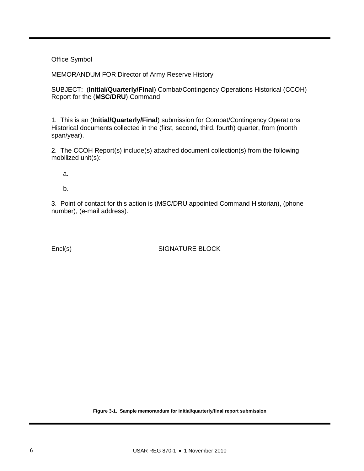# Office Symbol

MEMORANDUM FOR Director of Army Reserve History

SUBJECT: (**Initial/Quarterly/Final**) Combat/Contingency Operations Historical (CCOH) Report for the (**MSC/DRU**) Command

1. This is an (**Initial/Quarterly/Final**) submission for Combat/Contingency Operations Historical documents collected in the (first, second, third, fourth) quarter, from (month span/year).

2. The CCOH Report(s) include(s) attached document collection(s) from the following mobilized unit(s):

a.

b.

3. Point of contact for this action is (MSC/DRU appointed Command Historian), (phone number), (e-mail address).

Encl(s) SIGNATURE BLOCK

**Figure 3-1. Sample memorandum for initial/quarterly/final report submission**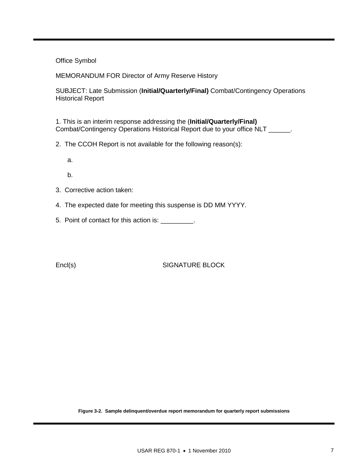# Office Symbol

MEMORANDUM FOR Director of Army Reserve History

SUBJECT: Late Submission (**Initial/Quarterly/Final)** Combat/Contingency Operations Historical Report

1. This is an interim response addressing the (**Initial/Quarterly/Final)**  Combat/Contingency Operations Historical Report due to your office NLT \_\_\_\_\_\_.

- 2. The CCOH Report is not available for the following reason(s):
	- a.
	- b.
- 3. Corrective action taken:
- 4. The expected date for meeting this suspense is DD MM YYYY.
- 5. Point of contact for this action is: \_\_\_\_\_\_\_\_\_.

Encl(s) SIGNATURE BLOCK

**Figure 3-2. Sample delinquent/overdue report memorandum for quarterly report submissions**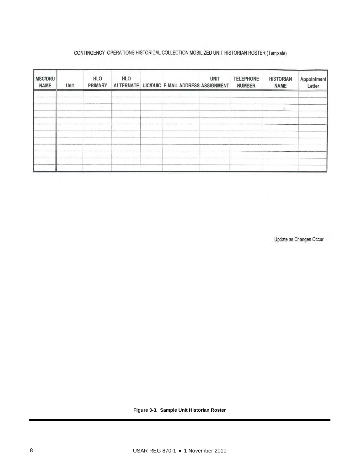## CONTINGENCY OPERATIONS HISTORICAL COLLECTION MOBILIZED UNIT HISTORIAN ROSTER (Template)

| Unit | <b>HLO</b><br>PRIMARY | <b>HLO</b> |  | <b>UNIT</b> | <b>TELEPHONE</b><br><b>NUMBER</b>            | <b>HISTORIAN</b><br><b>NAME</b> | Appointment<br>Letter |
|------|-----------------------|------------|--|-------------|----------------------------------------------|---------------------------------|-----------------------|
|      |                       |            |  |             |                                              |                                 |                       |
|      |                       |            |  |             |                                              |                                 |                       |
|      |                       |            |  |             |                                              |                                 |                       |
|      |                       |            |  |             |                                              |                                 |                       |
|      |                       |            |  |             |                                              |                                 |                       |
|      |                       |            |  |             |                                              |                                 |                       |
|      |                       |            |  |             | ALTERNATE UIC/DUIC E-MAIL ADDRESS ASSIGNMENT |                                 |                       |

Update as Changes Occur

**Figure 3-3. Sample Unit Historian Roster**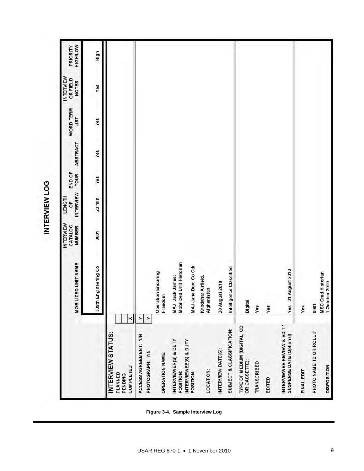| Ù  |
|----|
| г  |
|    |
|    |
| ∍  |
| ī. |
|    |
|    |
| 的  |
|    |
|    |
|    |
|    |

|                                                                  | MOBILIZED UNIT NAME                         | <b>INTERVIEW</b><br>CATALOG<br><b>NUMBER</b> | <b>INTERVIEW</b><br><b>LENGTH</b><br>ŏ | END OF<br><b>TOUR</b> | <b>ABSTRACT</b> | WORD TERM<br>LIST | <b>INTERVIEW</b><br>OR FIELD<br><b>NOTES</b> | <b>HIGH/LOW</b><br>PRIORITY |
|------------------------------------------------------------------|---------------------------------------------|----------------------------------------------|----------------------------------------|-----------------------|-----------------|-------------------|----------------------------------------------|-----------------------------|
|                                                                  | 309th Engineering Co                        | 0001                                         | $23$ min                               | Yes                   | Yes             | Yes               | Yes                                          | High                        |
| ×<br>INTERVIEW STATUS:<br><b>COMPLETED</b><br>PLANNED<br>PENDING |                                             |                                              |                                        |                       |                 |                   |                                              |                             |
| ACCESS AGREEMENT: Y/N<br>PHOTOGRAPH: Y/N                         | $\rightarrow$<br>≻                          |                                              |                                        |                       |                 |                   |                                              |                             |
| OPERATION NAME:                                                  | <b>Operation Enduring</b><br>Freedom        |                                              |                                        |                       |                 |                   |                                              |                             |
| INTERVIEWER(S) & DUTY<br>POSITION:                               | MAJ Jack James;<br>Mobilized Unit Historian |                                              |                                        |                       |                 |                   |                                              |                             |
| INTERVIEWEE(S) & DUTY<br>POSITION:                               | MAJ Jane Doe; Co Cdr                        |                                              |                                        |                       |                 |                   |                                              |                             |
| LOCATION:                                                        | Kandahar Airfield,<br>hanistan<br>Afg       |                                              |                                        |                       |                 |                   |                                              |                             |
| INTERVIEW DATE(S):                                               | August 2010<br>20.                          |                                              |                                        |                       |                 |                   |                                              |                             |
| SUBJECT & CLASSIFICATION:                                        | Intelligence Classified                     |                                              |                                        |                       |                 |                   |                                              |                             |
| TYPE OF MEDIUM (DIGITAL, CD<br>OR CASSETTE):                     | Digital                                     |                                              |                                        |                       |                 |                   |                                              |                             |
| <b>TRANSCRIBED</b>                                               | Yes                                         |                                              |                                        |                       |                 |                   |                                              |                             |
| EDITED                                                           | Yes                                         |                                              |                                        |                       |                 |                   |                                              |                             |
| INTERVIEWEE REVIEW & EDIT /<br>SUSPENSE DATE (Optional)          | 31 August 2010<br>Yes                       |                                              |                                        |                       |                 |                   |                                              |                             |
| FINAL EDIT                                                       | Yes                                         |                                              |                                        |                       |                 |                   |                                              |                             |
| PHOTO NAME, ID OR ROLL #                                         | 0001                                        |                                              |                                        |                       |                 |                   |                                              |                             |
| <b>DISPOSITON</b>                                                | <b>MSC Cmd Historian</b><br>1 October 2010  |                                              |                                        |                       |                 |                   |                                              |                             |

**Figure 3-4. Sample Interview Log**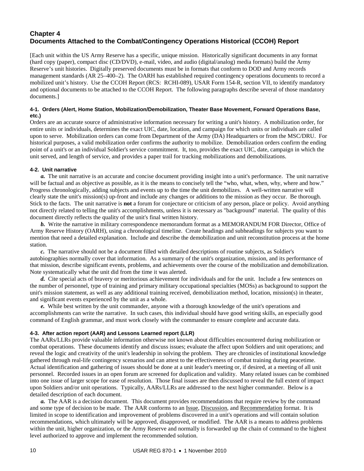# **Chapter 4 Documents Attached to the Combat/Contingency Operations Historical (CCOH) Report**

[Each unit within the US Army Reserve has a specific, unique mission. Historically significant documents in any format (hard copy (paper), compact disc (CD/DVD), e-mail, video, and audio (digital/analog) media formats) build the Army Reserve's unit histories. Digitally preserved documents must be in formats that conform to DOD and Army records management standards (AR 25–400–2). The OARH has established required contingency operations documents to record a mobilized unit's history. Use the CCOH Report (RCS: RCHI-089), USAR Form 154-R, section VII, to identify mandatory and optional documents to be attached to the CCOH Report. The following paragraphs describe several of those mandatory documents.]

#### **4-1. Orders (Alert, Home Station, Mobilization/Demobilization, Theater Base Movement, Forward Operations Base, etc.)**

Orders are an accurate source of administrative information necessary for writing a unit's history. A mobilization order, for entire units or individuals, determines the exact UIC, date, location, and campaign for which units or individuals are called upon to serve. Mobilization orders can come from Department of the Army (DA) Headquarters or from the MSC/DRU. For historical purposes, a valid mobilization order confirms the authority to mobilize. Demobilization orders confirm the ending point of a unit's or an individual Soldier's service commitment. It, too, provides the exact UIC, date, campaign in which the unit served, and length of service, and provides a paper trail for tracking mobilizations and demobilizations.

#### **4-2. Unit narrative**

*a.* The unit narrative is an accurate and concise document providing insight into a unit's performance. The unit narrative will be factual and as objective as possible, as it is the means to concisely tell the "who, what, when, why, where and how." Progress chronologically, adding subjects and events up to the time the unit demobilizes. A well-written narrative will clearly state the unit's mission(s) up-front and include any changes or additions to the mission as they occur. Be thorough. Stick to the facts. The unit narrative is **not** a forum for conjecture or criticism of any person, place or policy. Avoid anything not directly related to telling the unit's accomplishments, unless it is necessary as "background" material. The quality of this document directly reflects the quality of the unit's final written history.

 *b.* Write the narrative in military correspondence memorandum format as a MEMORANDUM FOR Director, Office of Army Reserve History (OARH), using a chronological timeline. Create headings and subheadings for subjects you want to mention that need a detailed explanation. Include and describe the demobilization and unit reconstitution process at the home station.

*c.* The narrative should not be a document filled with detailed descriptions of routine subjects, as Soldier's autobiographies normally cover that information. As a summary of the unit's organization, mission, and its performance of that mission, describe significant events, problems, and achievements over the course of the mobilization and demobilization. Note systematically what the unit did from the time it was alerted.

*d.* Cite special acts of bravery or meritorious achievement for individuals and for the unit. Include a few sentences on the number of personnel, type of training and primary military occupational specialties (MOSs) as background to support the unit's mission statement, as well as any additional training received, demobilization method, location, mission(s) in theater, and significant events experienced by the unit as a whole.

*e.* While best written by the unit commander, anyone with a thorough knowledge of the unit's operations and accomplishments can write the narrative. In such cases, this individual should have good writing skills, an especially good command of English grammar, and must work closely with the commander to ensure complete and accurate data.

#### **4-3. After action report (AAR) and Lessons Learned report (LLR)**

The AARs/LLRs provide valuable information otherwise not known about difficulties encountered during mobilization or combat operations. These documents identify and discuss issues; evaluate the affect upon Soldiers and unit operations; and reveal the logic and creativity of the unit's leadership in solving the problem. They are chronicles of institutional knowledge gathered through real-life contingency scenarios and can attest to the effectiveness of combat training during peacetime. Actual identification and gathering of issues should be done at a unit leader's meeting or, if desired, at a meeting of all unit personnel. Recorded issues in an open forum are screened for duplication and validity. Many related issues can be combined into one issue of larger scope for ease of resolution. Those final issues are then discussed to reveal the full extent of impact upon Soldiers and/or unit operations. Typically, AARs/LLRs are addressed to the next higher commander. Below is a detailed description of each document.

*a.* The AAR is a decision document. This document provides recommendations that require review by the command and some type of decision to be made. The AAR conforms to an Issue, Discussion, and Recommendation format. It is limited in scope to identification and improvement of problems discovered in a unit's operations and will contain solution recommendations, which ultimately will be approved, disapproved, or modified. The AAR is a means to address problems within the unit, higher organization, or the Army Reserve and normally is forwarded up the chain of command to the highest level authorized to approve and implement the recommended solution.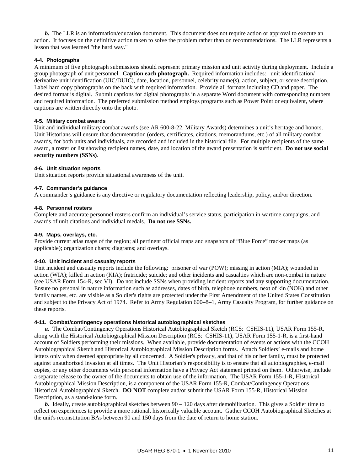*b.* The LLR is an information/education document. This document does not require action or approval to execute an action. It focuses on the definitive action taken to solve the problem rather than on recommendations. The LLR represents a lesson that was learned "the hard way."

#### **4-4. Photographs**

A minimum of five photograph submissions should represent primary mission and unit activity during deployment. Include a group photograph of unit personnel. **Caption each photograph.** Required information includes: unit identification/ derivative unit identification (UIC/DUIC), date, location, personnel, celebrity name(s), action, subject, or scene description. Label hard copy photographs on the back with required information. Provide all formats including CD and paper. The desired format is digital. Submit captions for digital photographs in a separate Word document with corresponding numbers and required information. The preferred submission method employs programs such as Power Point or equivalent, where captions are written directly onto the photo.

#### **4-5. Military combat awards**

Unit and individual military combat awards (see AR 600-8-22, Military Awards) determines a unit's heritage and honors. Unit Historians will ensure that documentation (orders, certificates, citations, memorandums, etc.) of all military combat awards, for both units and individuals, are recorded and included in the historical file. For multiple recipients of the same award, a roster or list showing recipient names, date, and location of the award presentation is sufficient. **Do not use social security numbers (SSNs)**.

#### **4-6. Unit situation reports**

Unit situation reports provide situational awareness of the unit.

#### **4-7. Commander's guidance**

A commander's guidance is any directive or regulatory documentation reflecting leadership, policy, and/or direction.

#### **4-8. Personnel rosters**

Complete and accurate personnel rosters confirm an individual's service status, participation in wartime campaigns, and awards of unit citations and individual medals. **Do not use SSNs.**

#### **4-9. Maps, overlays, etc.**

Provide current atlas maps of the region; all pertinent official maps and snapshots of "Blue Force" tracker maps (as applicable); organization charts; diagrams; and overlays.

#### **4-10. Unit incident and casualty reports**

Unit incident and casualty reports include the following: prisoner of war (POW); missing in action (MIA); wounded in action (WIA); killed in action (KIA); fratricide; suicide; and other incidents and casualties which are non-combat in nature (see USAR Form 154-R, sec VI). Do not include SSNs when providing incident reports and any supporting documentation. Ensure no personal in nature information such as addresses, dates of birth, telephone numbers, next of kin (NOK) and other family names, etc. are visible as a Soldier's rights are protected under the First Amendment of the United States Constitution and subject to the Privacy Act of 1974. Refer to Army Regulation 600–8–1, Army Casualty Program, for further guidance on these reports.

#### **4-11. Combat/contingency operations historical autobiographical sketches**

*a.* The Combat/Contingency Operations Historical Autobiographical Sketch (RCS: CSHIS-11), USAR Form 155-R, along with the Historical Autobiographical Mission Description (RCS: CSHIS-11), USAR Form 155-1-R, is a first-hand account of Soldiers performing their missions. When available, provide documentation of events or actions with the CCOH Autobiographical Sketch and Historical Autobiographical Mission Description forms. Attach Soldiers' e-mails and home letters only when deemed appropriate by all concerned.A Soldier's privacy, and that of his or her family, must be protected against unauthorized invasion at all times. The Unit Historian's responsibility is to ensure that all autobiographies, e-mail copies, or any other documents with personal information have a Privacy Act statement printed on them. Otherwise, include a separate release to the owner of the documents to obtain use of the information. The USAR Form 155-1-R, Historical Autobiographical Mission Description, is a component of the USAR Form 155-R, Combat/Contingency Operations Historical Autobiographical Sketch. **DO NOT** complete and/or submit the USAR Form 155-R, Historical Mission Description, as a stand-alone form.

*b.* Ideally, create autobiographical sketches between 90 – 120 days after demobilization. This gives a Soldier time to reflect on experiences to provide a more rational, historically valuable account. Gather CCOH Autobiographical Sketches at the unit's reconstitution BAs between 90 and 150 days from the date of return to home station.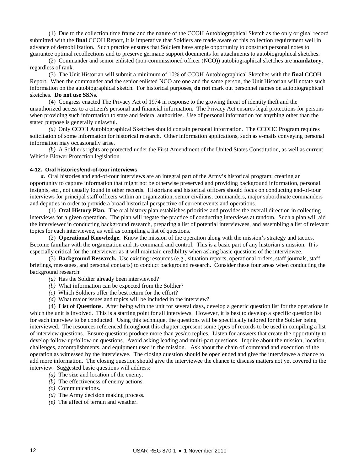(1) Due to the collection time frame and the nature of the CCOH Autobiographical Sketch as the only original record submitted with the **final** CCOH Report, it is imperative that Soldiers are made aware of this collection requirement well in advance of demobilization. Such practice ensures that Soldiers have ample opportunity to construct personal notes to guarantee optimal recollections and to preserve germane support documents for attachments to autobiographical sketches.

 (2) Commander and senior enlisted (non-commissioned officer (NCO)) autobiographical sketches are **mandatory**, regardless of rank.

 (3) The Unit Historian will submit a minimum of 10% of CCOH Autobiographical Sketches with the **final** CCOH Report. When the commander and the senior enlisted NCO are one and the same person, the Unit Historian will notate such information on the autobiographical sketch. For historical purposes, **do not** mark out personnel names on autobiographical sketches. **Do not use SSNs.**

 (4) Congress enacted The Privacy Act of 1974 in response to the growing threat of identity theft and the unauthorized access to a citizen's personal and financial information. The Privacy Act ensures legal protections for persons when providing such information to state and federal authorities. Use of personal information for anything other than the stated purpose is generally unlawful.

 *(a)* Only CCOH Autobiographical Sketches should contain personal information. The CCOHC Program requires solicitation of some information for historical research. Other information applications, such as e-mails conveying personal information may occasionally arise.

 *(b)* A Soldier's rights are protected under the First Amendment of the United States Constitution, as well as current Whistle Blower Protection legislation.

#### **4-12. Oral histories/end-of-tour interviews**

*a.* Oral histories and end-of-tour interviews are an integral part of the Army's historical program; creating an opportunity to capture information that might not be otherwise preserved and providing background information, personal insights, etc., not usually found in other records. Historians and historical officers should focus on conducting end-of-tour interviews for principal staff officers within an organization, senior civilians, commanders, major subordinate commanders and deputies in order to provide a broad historical perspective of current events and operations.

 (1) **Oral History Plan.** The oral history plan establishes priorities and provides the overall direction in collecting interviews for a given operation. The plan will negate the practice of conducting interviews at random. Such a plan will aid the interviewer in conducting background research, preparing a list of potential interviewees, and assembling a list of relevant topics for each interviewee, as well as compiling a list of questions.

 (2) **Operational Knowledge.** Know the mission of the operation along with the mission's strategy and tactics. Become familiar with the organization and its command and control. This is a basic part of any historian's mission. It is especially critical for the interviewer as it will maintain credibility when asking basic questions of the interviewee.

 (3) **Background Research.** Use existing resources (e.g., situation reports, operational orders, staff journals, staff briefings, messages, and personal contacts) to conduct background research. Consider these four areas when conducting the background research:

- *(a)* Has the Soldier already been interviewed?
- *(b)* What information can be expected from the Soldier?
- *(c)* Which Soldiers offer the best return for the effort?
- *(d)* What major issues and topics will be included in the interview?

 (4) **List of Questions.** After being with the unit for several days, develop a generic question list for the operations in which the unit is involved. This is a starting point for all interviews. However, it is best to develop a specific question list for each interview to be conducted. Using this technique, the questions will be specifically tailored for the Soldier being interviewed. The resources referenced throughout this chapter represent some types of records to be used in compiling a list of interview questions. Ensure questions produce more than yes/no replies. Listen for answers that create the opportunity to develop follow-up/follow-on questions. Avoid asking leading and multi-part questions. Inquire about the mission, location, challenges, accomplishments, and equipment used in the mission. Ask about the chain of command and execution of the operation as witnessed by the interviewee. The closing question should be open ended and give the interviewee a chance to add more information. The closing question should give the interviewee the chance to discuss matters not yet covered in the interview. Suggested basic questions will address:

- *(a)* The size and location of the enemy.
- *(b)* The effectiveness of enemy actions.
- *(c)* Communications.
- *(d)* The Army decision making process.
- *(e)* The affect of terrain and weather.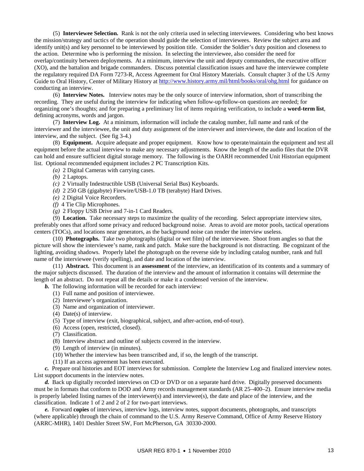(5) **Interviewee Selection.** Rank is not the only criteria used in selecting interviewees. Considering who best knows the mission/strategy and tactics of the operation should guide the selection of interviewees. Review the subject area and identify unit(s) and key personnel to be interviewed by position title. Consider the Soldier's duty position and closeness to the action. Determine who is performing the mission. In selecting the interviewee, also consider the need for overlap/continuity between deployments. At a minimum, interview the unit and deputy commanders, the executive officer (XO), and the battalion and brigade commanders. Discuss potential classification issues and have the interviewee complete the regulatory required DA Form 7273-R, Access Agreement for Oral History Materials. Consult chapter 3 of the US Army Guide to Oral History, Center of Military History at<http://www.history.army.mil/html/books/oral/ohg.html> for guidance on conducting an interview.

 (6) **Interview Notes.** Interview notes may be the only source of interview information, short of transcribing the recording. They are useful during the interview for indicating when follow-up/follow-on questions are needed; for organizing one's thoughts; and for preparing a preliminary list of items requiring verification, to include a **word-term list**, defining acronyms, words and jargon.

 (7) **Interview Log.** At a minimum, information will include the catalog number, full name and rank of the interviewer and the interviewee, the unit and duty assignment of the interviewer and interviewee, the date and location of the interview, and the subject. (See fig 3-4.)

 (8) **Equipment.** Acquire adequate and proper equipment. Know how to operate/maintain the equipment and test all equipment before the actual interview to make any necessary adjustments. Know the length of the audio files that the DVR can hold and ensure sufficient digital storage memory. The following is the OARH recommended Unit Historian equipment list. Optional recommended equipment includes 2 PC Transcription Kits.

*(a)* 2 Digital Cameras with carrying cases.

*(b)* 2 Laptops.

- *(c)* 2 Virtually Indestructible USB (Universal Serial Bus) Keyboards.
- *(d)* 2 250 GB (gigabyte) Firewire/USB-1.0 TB (terabyte) Hard Drives.
- *(e)* 2 Digital Voice Recorders.
- *(f)* 4 Tie Clip Microphones.
- *(g)* 2 Floppy USB Drive and 7-in-1 Card Readers.

 (9) **Location.** Take necessary steps to maximize the quality of the recording. Select appropriate interview sites, preferably ones that afford some privacy and reduced background noise. Areas to avoid are motor pools, tactical operations centers (TOCs), and locations near generators, as the background noise can render the interview useless.

 (10) **Photographs.** Take two photographs (digital or wet film) of the interviewee. Shoot from angles so that the picture will show the interviewee's name, rank and patch. Make sure the background is not distracting. Be cognizant of the lighting, avoiding shadows. Properly label the photograph on the reverse side by including catalog number, rank and full name of the interviewee (verify spelling), and date and location of the interview.

 (11) **Abstract.** This document is an **assessment** of the interview, an identification of its contents and a summary of the major subjects discussed. The duration of the interview and the amount of information it contains will determine the length of an abstract. Do not repeat all the details or make it a condensed version of the interview.

*b.* The following information will be recorded for each interview:

- (1) Full name and position of interviewee.
- (2) Interviewee's organization.
- (3) Name and organization of interviewer.
- (4) Date(s) of interview.
- (5) Type of interview (exit, biographical, subject, and after-action, end-of-tour).
- (6) Access (open, restricted, closed).
- (7) Classification.
- (8) Interview abstract and outline of subjects covered in the interview.
- (9) Length of interview (in minutes).
- (10) Whether the interview has been transcribed and, if so, the length of the transcript.
- (11) If an access agreement has been executed.

*c.* Prepare oral histories and EOT interviews for submission. Complete the Interview Log and finalized interview notes. List support documents in the interview notes.

*d.* Back up digitally recorded interviews on CD or DVD or on a separate hard drive. Digitally preserved documents must be in formats that conform to DOD and Army records management standards (AR 25–400–2). Ensure interview media is properly labeled listing names of the interviewer(s) and interviewee(s), the date and place of the interview, and the classification. Indicate 1 of 2 and 2 of 2 for two-part interviews.

*e.* Forward **copies** of interviews, interview logs, interview notes, support documents, photographs, and transcripts (where applicable) through the chain of command to the U.S. Army Reserve Command, Office of Army Reserve History (ARRC-MHR), 1401 Deshler Street SW, Fort McPherson, GA 30330-2000.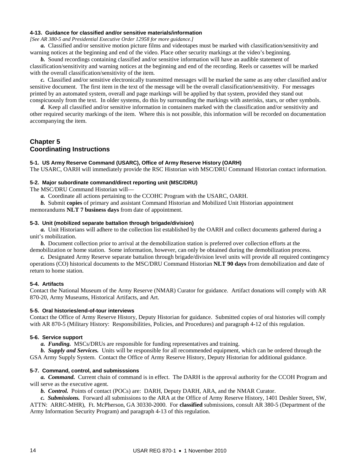#### **4-13. Guidance for classified and/or sensitive materials/information**

*[See AR 380-5 and Presidential Executive Order 12958 for more guidance.]* 

*a.* Classified and/or sensitive motion picture films and videotapes must be marked with classification/sensitivity and warning notices at the beginning and end of the video. Place other security markings at the video's beginning.

*b.* Sound recordings containing classified and/or sensitive information will have an audible statement of classification/sensitivity and warning notices at the beginning and end of the recording. Reels or cassettes will be marked with the overall classification/sensitivity of the item.

*c.* Classified and/or sensitive electronically transmitted messages will be marked the same as any other classified and/or sensitive document. The first item in the text of the message will be the overall classification/sensitivity. For messages printed by an automated system, overall and page markings will be applied by that system, provided they stand out conspicuously from the text. In older systems, do this by surrounding the markings with asterisks, stars, or other symbols.

*d.* Keep all classified and/or sensitive information in containers marked with the classification and/or sensitivity and other required security markings of the item. Where this is not possible, this information will be recorded on documentation accompanying the item.

# **Chapter 5 Coordinating Instructions**

#### **5-1. US Army Reserve Command (USARC), Office of Army Reserve History (OARH)**

The USARC, OARH will immediately provide the RSC Historian with MSC/DRU Command Historian contact information.

#### **5-2. Major subordinate command/direct reporting unit (MSC/DRU)**

The MSC/DRU Command Historian will—

*a.* Coordinate all actions pertaining to the CCOHC Program with the USARC, OARH.

*b.* Submit **copies** of primary and assistant Command Historian and Mobilized Unit Historian appointment memorandums **NLT 7 business days** from date of appointment.

#### **5-3. Unit (mobilized separate battalion through brigade/division)**

*a.* Unit Historians will adhere to the collection list established by the OARH and collect documents gathered during a unit's mobilization.

*b.* Document collection prior to arrival at the demobilization station is preferred over collection efforts at the demobilization or home station. Some information, however, can only be obtained during the demobilization process.

*c.* Designated Army Reserve separate battalion through brigade/division level units will provide all required contingency operations (CO) historical documents to the MSC/DRU Command Historian **NLT 90 days** from demobilization and date of return to home station.

#### **5-4. Artifacts**

Contact the National Museum of the Army Reserve (NMAR) Curator for guidance. Artifact donations will comply with AR 870-20, Army Museums, Historical Artifacts, and Art.

#### **5-5. Oral histories/end-of-tour interviews**

Contact the Office of Army Reserve History, Deputy Historian for guidance. Submitted copies of oral histories will comply with AR 870-5 (Military History: Responsibilities, Policies, and Procedures) and paragraph 4-12 of this regulation.

#### **5-6. Service support**

*a. Funding.* MSCs/DRUs are responsible for funding representatives and training.

*b. Supply and Services.* Units will be responsible for all recommended equipment, which can be ordered through the GSA Army Supply System. Contact the Office of Army Reserve History, Deputy Historian for additional guidance.

#### **5-7. Command, control, and submisssions**

*a. Command.* Current chain of command is in effect. The DARH is the approval authority for the CCOH Program and will serve as the executive agent.

*b. Control.* Points of contact (POCs) are: DARH, Deputy DARH, ARA, and the NMAR Curator.

*c. Submissions.* Forward all submissions to the ARA at the Office of Army Reserve History, 1401 Deshler Street, SW, ATTN: ARRC-MHR), Ft. McPherson, GA 30330-2000. For **classified** submissions, consult AR 380-5 (Department of the Army Information Security Program) and paragraph 4-13 of this regulation.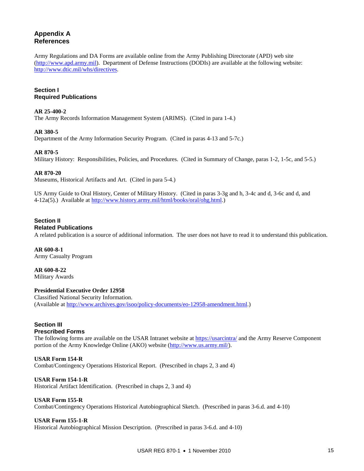# **Appendix A References**

Army Regulations and DA Forms are available online from the Army Publishing Directorate (APD) web site [\(http://www.apd.army.mil\)](http://www.apd.army.mil/). Department of Defense Instructions (DODIs) are available at the following website: [http://www.dtic.mil/whs/directives.](http://www.dtic.mil/whs/directives)

#### **Section I Required Publications**

#### **AR 25-400-2**

The Army Records Information Management System (ARIMS). (Cited in para 1-4.)

#### **AR 380-5**

Department of the Army Information Security Program. (Cited in paras 4-13 and 5-7c.)

#### **AR 870-5**

Military History: Responsibilities, Policies, and Procedures. (Cited in Summary of Change, paras 1-2, 1-5c, and 5-5.)

#### **AR 870-20**

Museums, Historical Artifacts and Art. (Cited in para 5-4.)

US Army Guide to Oral History, Center of Military History. (Cited in paras 3-3g and h, 3-4c and d, 3-6c and d, and 4-12a(5).) Available at [http://www.history.army.mil/html/books/oral/ohg.html.\)](http://www.history.army.mil/html/books/oral/ohg.html)

# **Section II**

#### **Related Publications**

A related publication is a source of additional information. The user does not have to read it to understand this publication.

#### **AR 600-8-1**  Army Casualty Program

**AR 600-8-22** Military Awards

# **Presidential Executive Order 12958**

Classified National Security Information. (Available at [http://www.archives.gov/isoo/policy-documents/eo-12958-amendment.html.](http://www.archives.gov/isoo/policydocuments/eo12958amendment.html))

#### **Section III Prescribed Forms**

The following forms are available on the USAR Intranet website at<https://usarcintra/> and the Army Reserve Component portion of the Army Knowledge Online (AKO) website [\(http://www.us.army.mil/\)](http://www.us.army.mil/).

#### **USAR Form 154-R**  Combat/Contingency Operations Historical Report. (Prescribed in chaps 2, 3 and 4)

#### **USAR Form 154-1-R**

Historical Artifact Identification. (Prescribed in chaps 2, 3 and 4)

#### **USAR Form 155-R**

Combat/Contingency Operations Historical Autobiographical Sketch. (Prescribed in paras 3-6.d. and 4-10)

#### **USAR Form 155-1-R**

Historical Autobiographical Mission Description. (Prescribed in paras 3-6.d. and 4-10)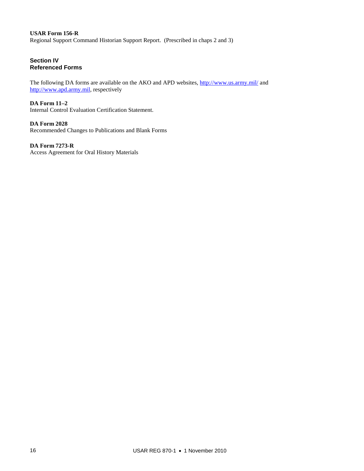#### **USAR Form 156-R**  Regional Support Command Historian Support Report. (Prescribed in chaps 2 and 3)

# **Section IV Referenced Forms**

The following DA forms are available on the AKO and APD websites,<http://www.us.army.mil/> and [http://www.apd.army.mil,](http://www.apd.army.mil/) respectively

**DA Form 11–2**  Internal Control Evaluation Certification Statement.

**DA Form 2028** Recommended Changes to Publications and Blank Forms

**DA Form 7273-R**  Access Agreement for Oral History Materials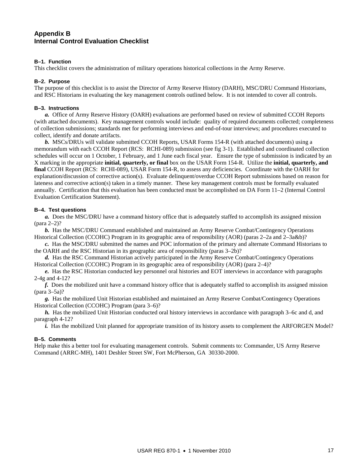# **Appendix B Internal Control Evaluation Checklist**

#### **B–1. Function**

This checklist covers the administration of military operations historical collections in the Army Reserve.

#### **B–2. Purpose**

The purpose of this checklist is to assist the Director of Army Reserve History (DARH), MSC/DRU Command Historians, and RSC Historians in evaluating the key management controls outlined below. It is not intended to cover all controls.

#### **B–3. Instructions**

*a.* Office of Army Reserve History (OARH) evaluations are performed based on review of submitted CCOH Reports (with attached documents). Key management controls would include: quality of required documents collected; completeness of collection submissions; standards met for performing interviews and end-of-tour interviews; and procedures executed to collect, identify and donate artifacts.

*b.* MSCs/DRUs will validate submitted CCOH Reports, USAR Forms 154-R (with attached documents) using a memorandum with each CCOH Report (RCS: RCHI-089) submission (see fig 3-1). Established and coordinated collection schedules will occur on 1 October, 1 February, and 1 June each fiscal year. Ensure the type of submission is indicated by an X marking in the appropriate **initial, quarterly, or final** box on the USAR Form 154-R. Utilize the **initial, quarterly, and final** CCOH Report (RCS: RCHI-089), USAR Form 154-R, to assess any deficiencies. Coordinate with the OARH for explanation/discussion of corrective action(s). Evaluate delinquent/overdue CCOH Report submissions based on reason for lateness and corrective action(s) taken in a timely manner. These key management controls must be formally evaluated annually. Certification that this evaluation has been conducted must be accomplished on DA Form 11–2 (Internal Control Evaluation Certification Statement).

#### **B–4. Test questions**

*a.* Does the MSC/DRU have a command history office that is adequately staffed to accomplish its assigned mission (para 2–2)?

*b.* Has the MSC/DRU Command established and maintained an Army Reserve Combat/Contingency Operations Historical Collection (CCOHC) Program in its geographic area of responsibility (AOR) (paras 2–2a and 2–3a&b)?

*c.* Has the MSC/DRU submitted the names and POC information of the primary and alternate Command Historians to the OARH and the RSC Historian in its geographic area of responsibility (paras 3–2b)?

d. Has the RSC Command Historian actively participated in the Army Reserve Combat/Contingency Operations Historical Collection (CCOHC) Program in its geographic area of responsibility (AOR) (para 2–4)?

*e.* Has the RSC Historian conducted key personnel oral histories and EOT interviews in accordance with paragraphs 2-4g and 4-12?

*f.* Does the mobilized unit have a command history office that is adequately staffed to accomplish its assigned mission (para 3–5a)?

*g.* Has the mobilized Unit Historian established and maintained an Army Reserve Combat/Contingency Operations Historical Collection (CCOHC) Program (para 3–6)?

*h.* Has the mobilized Unit Historian conducted oral history interviews in accordance with paragraph 3–6c and d, and paragraph 4-12?

*i.* Has the mobilized Unit planned for appropriate transition of its history assets to complement the ARFORGEN Model?

#### **B–5. Comments**

Help make this a better tool for evaluating management controls. Submit comments to: Commander, US Army Reserve Command (ARRC-MH), 1401 Deshler Street SW, Fort McPherson, GA 30330-2000.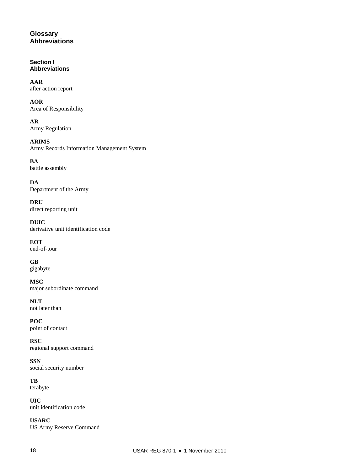# **Glossary Abbreviations**

# **Section I Abbreviations**

**AAR** after action report

**AOR** Area of Responsibility

**AR** Army Regulation

**ARIMS** Army Records Information Management System

**BA** battle assembly

**DA** Department of the Army

**DRU** direct reporting unit

**DUIC** derivative unit identification code

**EOT** end-of-tour

**GB** gigabyte

**MSC** major subordinate command

**NLT** not later than

**POC** point of contact

**RSC** regional support command

**SSN** social security number

**TB** terabyte

**UIC** unit identification code

**USARC** US Army Reserve Command